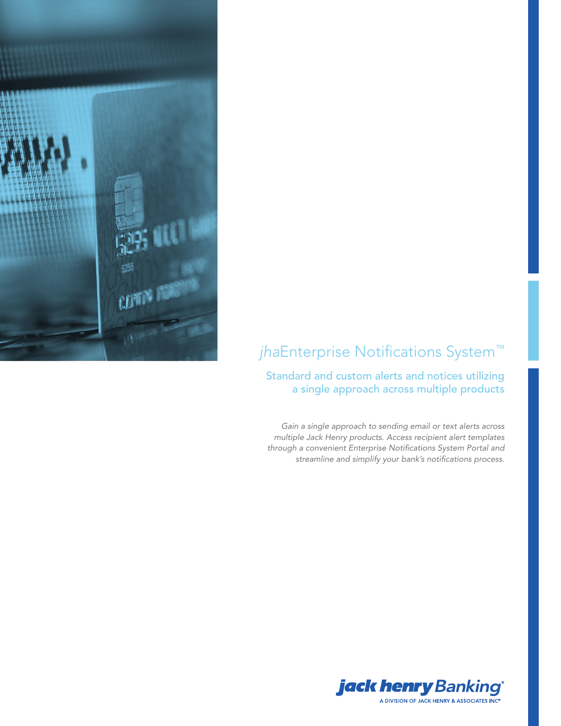

# *jha*Enterprise Notifications System™

### Standard and custom alerts and notices utilizing a single approach across multiple products

*Gain a single approach to sending email or text alerts across multiple Jack Henry products. Access recipient alert templates through a convenient Enterprise Notifications System Portal and streamline and simplify your bank's notifications process.*